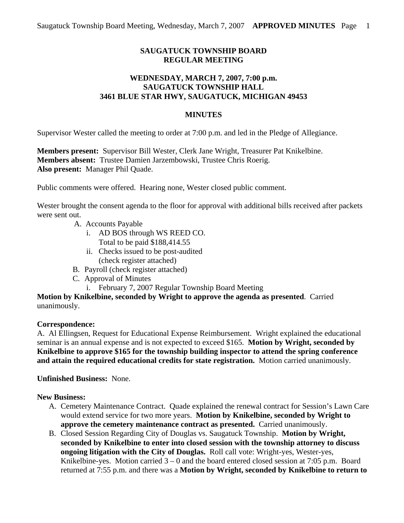# **SAUGATUCK TOWNSHIP BOARD REGULAR MEETING**

# **WEDNESDAY, MARCH 7, 2007, 7:00 p.m. SAUGATUCK TOWNSHIP HALL 3461 BLUE STAR HWY, SAUGATUCK, MICHIGAN 49453**

### **MINUTES**

Supervisor Wester called the meeting to order at 7:00 p.m. and led in the Pledge of Allegiance.

**Members present:** Supervisor Bill Wester, Clerk Jane Wright, Treasurer Pat Knikelbine. **Members absent:** Trustee Damien Jarzembowski, Trustee Chris Roerig. **Also present:** Manager Phil Quade.

Public comments were offered. Hearing none, Wester closed public comment.

Wester brought the consent agenda to the floor for approval with additional bills received after packets were sent out.

- A. Accounts Payable
	- i. AD BOS through WS REED CO. Total to be paid \$188,414.55
	- ii. Checks issued to be post-audited (check register attached)
- B. Payroll (check register attached)
- C. Approval of Minutes
	- i. February 7, 2007 Regular Township Board Meeting

**Motion by Knikelbine, seconded by Wright to approve the agenda as presented**. Carried unanimously.

#### **Correspondence:**

A. Al Ellingsen, Request for Educational Expense Reimbursement. Wright explained the educational seminar is an annual expense and is not expected to exceed \$165. **Motion by Wright, seconded by Knikelbine to approve \$165 for the township building inspector to attend the spring conference and attain the required educational credits for state registration.** Motion carried unanimously.

**Unfinished Business:** None.

### **New Business:**

- A. Cemetery Maintenance Contract. Quade explained the renewal contract for Session's Lawn Care would extend service for two more years. **Motion by Knikelbine, seconded by Wright to approve the cemetery maintenance contract as presented.** Carried unanimously.
- B. Closed Session Regarding City of Douglas vs. Saugatuck Township. **Motion by Wright, seconded by Knikelbine to enter into closed session with the township attorney to discuss ongoing litigation with the City of Douglas.** Roll call vote: Wright-yes, Wester-yes, Knikelbine-yes. Motion carried  $3 - 0$  and the board entered closed session at 7:05 p.m. Board returned at 7:55 p.m. and there was a **Motion by Wright, seconded by Knikelbine to return to**